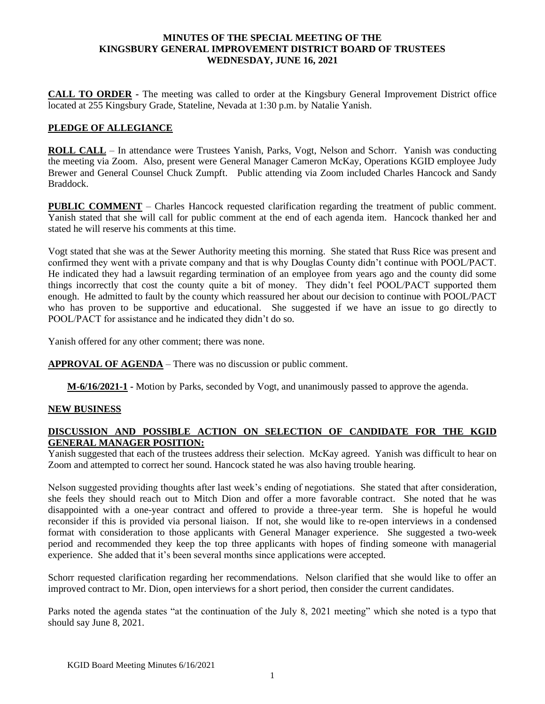#### **MINUTES OF THE SPECIAL MEETING OF THE KINGSBURY GENERAL IMPROVEMENT DISTRICT BOARD OF TRUSTEES WEDNESDAY, JUNE 16, 2021**

**CALL TO ORDER -** The meeting was called to order at the Kingsbury General Improvement District office located at 255 Kingsbury Grade, Stateline, Nevada at 1:30 p.m. by Natalie Yanish.

## **PLEDGE OF ALLEGIANCE**

**ROLL CALL** – In attendance were Trustees Yanish, Parks, Vogt, Nelson and Schorr. Yanish was conducting the meeting via Zoom. Also, present were General Manager Cameron McKay, Operations KGID employee Judy Brewer and General Counsel Chuck Zumpft. Public attending via Zoom included Charles Hancock and Sandy Braddock.

**PUBLIC COMMENT** – Charles Hancock requested clarification regarding the treatment of public comment. Yanish stated that she will call for public comment at the end of each agenda item. Hancock thanked her and stated he will reserve his comments at this time.

Vogt stated that she was at the Sewer Authority meeting this morning. She stated that Russ Rice was present and confirmed they went with a private company and that is why Douglas County didn't continue with POOL/PACT. He indicated they had a lawsuit regarding termination of an employee from years ago and the county did some things incorrectly that cost the county quite a bit of money. They didn't feel POOL/PACT supported them enough. He admitted to fault by the county which reassured her about our decision to continue with POOL/PACT who has proven to be supportive and educational. She suggested if we have an issue to go directly to POOL/PACT for assistance and he indicated they didn't do so.

Yanish offered for any other comment; there was none.

**APPROVAL OF AGENDA** – There was no discussion or public comment.

**M-6/16/2021-1 -** Motion by Parks, seconded by Vogt, and unanimously passed to approve the agenda.

### **NEW BUSINESS**

### **DISCUSSION AND POSSIBLE ACTION ON SELECTION OF CANDIDATE FOR THE KGID GENERAL MANAGER POSITION:**

Yanish suggested that each of the trustees address their selection. McKay agreed. Yanish was difficult to hear on Zoom and attempted to correct her sound. Hancock stated he was also having trouble hearing.

Nelson suggested providing thoughts after last week's ending of negotiations. She stated that after consideration, she feels they should reach out to Mitch Dion and offer a more favorable contract. She noted that he was disappointed with a one-year contract and offered to provide a three-year term. She is hopeful he would reconsider if this is provided via personal liaison. If not, she would like to re-open interviews in a condensed format with consideration to those applicants with General Manager experience. She suggested a two-week period and recommended they keep the top three applicants with hopes of finding someone with managerial experience. She added that it's been several months since applications were accepted.

Schorr requested clarification regarding her recommendations. Nelson clarified that she would like to offer an improved contract to Mr. Dion, open interviews for a short period, then consider the current candidates.

Parks noted the agenda states "at the continuation of the July 8, 2021 meeting" which she noted is a typo that should say June 8, 2021.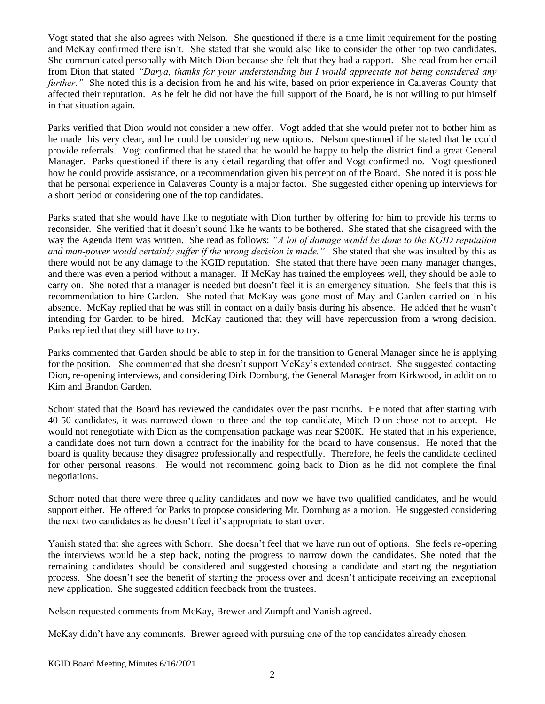Vogt stated that she also agrees with Nelson. She questioned if there is a time limit requirement for the posting and McKay confirmed there isn't. She stated that she would also like to consider the other top two candidates. She communicated personally with Mitch Dion because she felt that they had a rapport. She read from her email from Dion that stated *"Darya, thanks for your understanding but I would appreciate not being considered any further.*" She noted this is a decision from he and his wife, based on prior experience in Calaveras County that affected their reputation. As he felt he did not have the full support of the Board, he is not willing to put himself in that situation again.

Parks verified that Dion would not consider a new offer. Vogt added that she would prefer not to bother him as he made this very clear, and he could be considering new options. Nelson questioned if he stated that he could provide referrals. Vogt confirmed that he stated that he would be happy to help the district find a great General Manager. Parks questioned if there is any detail regarding that offer and Vogt confirmed no. Vogt questioned how he could provide assistance, or a recommendation given his perception of the Board. She noted it is possible that he personal experience in Calaveras County is a major factor. She suggested either opening up interviews for a short period or considering one of the top candidates.

Parks stated that she would have like to negotiate with Dion further by offering for him to provide his terms to reconsider. She verified that it doesn't sound like he wants to be bothered. She stated that she disagreed with the way the Agenda Item was written. She read as follows: *"A lot of damage would be done to the KGID reputation and man-power would certainly suffer if the wrong decision is made."* She stated that she was insulted by this as there would not be any damage to the KGID reputation. She stated that there have been many manager changes, and there was even a period without a manager. If McKay has trained the employees well, they should be able to carry on. She noted that a manager is needed but doesn't feel it is an emergency situation. She feels that this is recommendation to hire Garden. She noted that McKay was gone most of May and Garden carried on in his absence. McKay replied that he was still in contact on a daily basis during his absence. He added that he wasn't intending for Garden to be hired. McKay cautioned that they will have repercussion from a wrong decision. Parks replied that they still have to try.

Parks commented that Garden should be able to step in for the transition to General Manager since he is applying for the position. She commented that she doesn't support McKay's extended contract. She suggested contacting Dion, re-opening interviews, and considering Dirk Dornburg, the General Manager from Kirkwood, in addition to Kim and Brandon Garden.

Schorr stated that the Board has reviewed the candidates over the past months. He noted that after starting with 40-50 candidates, it was narrowed down to three and the top candidate, Mitch Dion chose not to accept. He would not renegotiate with Dion as the compensation package was near \$200K. He stated that in his experience, a candidate does not turn down a contract for the inability for the board to have consensus. He noted that the board is quality because they disagree professionally and respectfully. Therefore, he feels the candidate declined for other personal reasons. He would not recommend going back to Dion as he did not complete the final negotiations.

Schorr noted that there were three quality candidates and now we have two qualified candidates, and he would support either. He offered for Parks to propose considering Mr. Dornburg as a motion. He suggested considering the next two candidates as he doesn't feel it's appropriate to start over.

Yanish stated that she agrees with Schorr. She doesn't feel that we have run out of options. She feels re-opening the interviews would be a step back, noting the progress to narrow down the candidates. She noted that the remaining candidates should be considered and suggested choosing a candidate and starting the negotiation process. She doesn't see the benefit of starting the process over and doesn't anticipate receiving an exceptional new application. She suggested addition feedback from the trustees.

Nelson requested comments from McKay, Brewer and Zumpft and Yanish agreed.

McKay didn't have any comments. Brewer agreed with pursuing one of the top candidates already chosen.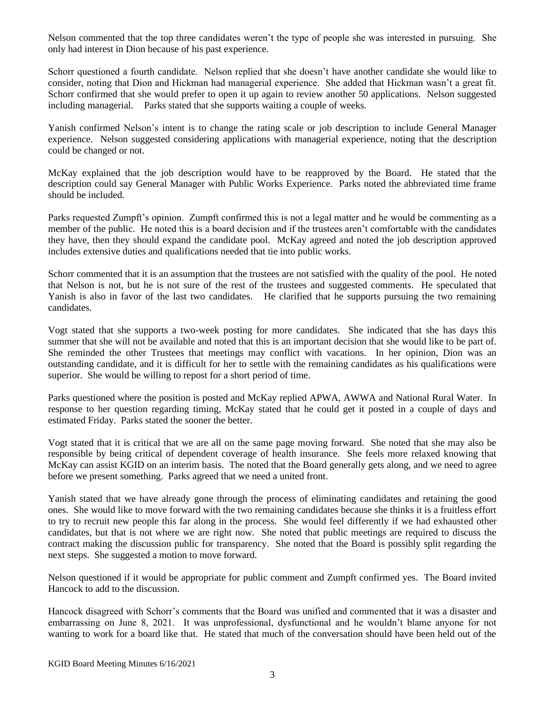Nelson commented that the top three candidates weren't the type of people she was interested in pursuing. She only had interest in Dion because of his past experience.

Schorr questioned a fourth candidate. Nelson replied that she doesn't have another candidate she would like to consider, noting that Dion and Hickman had managerial experience. She added that Hickman wasn't a great fit. Schorr confirmed that she would prefer to open it up again to review another 50 applications. Nelson suggested including managerial. Parks stated that she supports waiting a couple of weeks.

Yanish confirmed Nelson's intent is to change the rating scale or job description to include General Manager experience. Nelson suggested considering applications with managerial experience, noting that the description could be changed or not.

McKay explained that the job description would have to be reapproved by the Board. He stated that the description could say General Manager with Public Works Experience. Parks noted the abbreviated time frame should be included.

Parks requested Zumpft's opinion. Zumpft confirmed this is not a legal matter and he would be commenting as a member of the public. He noted this is a board decision and if the trustees aren't comfortable with the candidates they have, then they should expand the candidate pool. McKay agreed and noted the job description approved includes extensive duties and qualifications needed that tie into public works.

Schorr commented that it is an assumption that the trustees are not satisfied with the quality of the pool. He noted that Nelson is not, but he is not sure of the rest of the trustees and suggested comments. He speculated that Yanish is also in favor of the last two candidates. He clarified that he supports pursuing the two remaining candidates.

Vogt stated that she supports a two-week posting for more candidates. She indicated that she has days this summer that she will not be available and noted that this is an important decision that she would like to be part of. She reminded the other Trustees that meetings may conflict with vacations. In her opinion, Dion was an outstanding candidate, and it is difficult for her to settle with the remaining candidates as his qualifications were superior. She would be willing to repost for a short period of time.

Parks questioned where the position is posted and McKay replied APWA, AWWA and National Rural Water. In response to her question regarding timing, McKay stated that he could get it posted in a couple of days and estimated Friday. Parks stated the sooner the better.

Vogt stated that it is critical that we are all on the same page moving forward. She noted that she may also be responsible by being critical of dependent coverage of health insurance. She feels more relaxed knowing that McKay can assist KGID on an interim basis. The noted that the Board generally gets along, and we need to agree before we present something. Parks agreed that we need a united front.

Yanish stated that we have already gone through the process of eliminating candidates and retaining the good ones. She would like to move forward with the two remaining candidates because she thinks it is a fruitless effort to try to recruit new people this far along in the process. She would feel differently if we had exhausted other candidates, but that is not where we are right now. She noted that public meetings are required to discuss the contract making the discussion public for transparency. She noted that the Board is possibly split regarding the next steps. She suggested a motion to move forward.

Nelson questioned if it would be appropriate for public comment and Zumpft confirmed yes. The Board invited Hancock to add to the discussion.

Hancock disagreed with Schorr's comments that the Board was unified and commented that it was a disaster and embarrassing on June 8, 2021. It was unprofessional, dysfunctional and he wouldn't blame anyone for not wanting to work for a board like that. He stated that much of the conversation should have been held out of the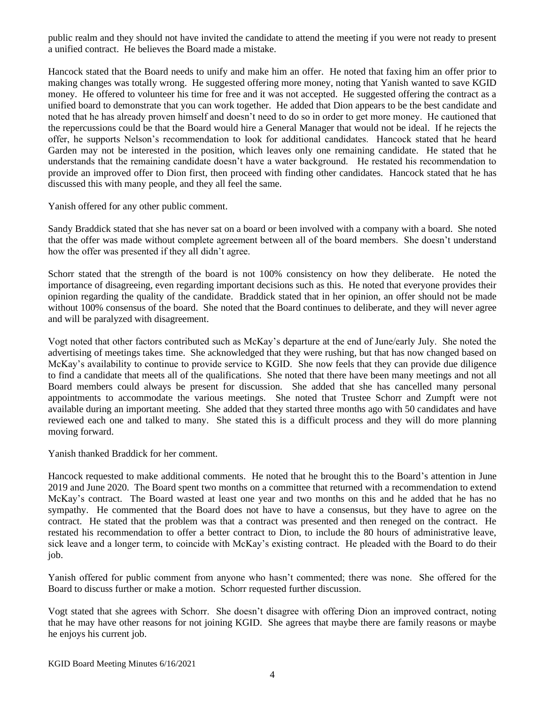public realm and they should not have invited the candidate to attend the meeting if you were not ready to present a unified contract. He believes the Board made a mistake.

Hancock stated that the Board needs to unify and make him an offer. He noted that faxing him an offer prior to making changes was totally wrong. He suggested offering more money, noting that Yanish wanted to save KGID money. He offered to volunteer his time for free and it was not accepted. He suggested offering the contract as a unified board to demonstrate that you can work together. He added that Dion appears to be the best candidate and noted that he has already proven himself and doesn't need to do so in order to get more money. He cautioned that the repercussions could be that the Board would hire a General Manager that would not be ideal. If he rejects the offer, he supports Nelson's recommendation to look for additional candidates. Hancock stated that he heard Garden may not be interested in the position, which leaves only one remaining candidate. He stated that he understands that the remaining candidate doesn't have a water background. He restated his recommendation to provide an improved offer to Dion first, then proceed with finding other candidates. Hancock stated that he has discussed this with many people, and they all feel the same.

Yanish offered for any other public comment.

Sandy Braddick stated that she has never sat on a board or been involved with a company with a board. She noted that the offer was made without complete agreement between all of the board members. She doesn't understand how the offer was presented if they all didn't agree.

Schorr stated that the strength of the board is not 100% consistency on how they deliberate. He noted the importance of disagreeing, even regarding important decisions such as this. He noted that everyone provides their opinion regarding the quality of the candidate. Braddick stated that in her opinion, an offer should not be made without 100% consensus of the board. She noted that the Board continues to deliberate, and they will never agree and will be paralyzed with disagreement.

Vogt noted that other factors contributed such as McKay's departure at the end of June/early July. She noted the advertising of meetings takes time. She acknowledged that they were rushing, but that has now changed based on McKay's availability to continue to provide service to KGID. She now feels that they can provide due diligence to find a candidate that meets all of the qualifications. She noted that there have been many meetings and not all Board members could always be present for discussion. She added that she has cancelled many personal appointments to accommodate the various meetings. She noted that Trustee Schorr and Zumpft were not available during an important meeting. She added that they started three months ago with 50 candidates and have reviewed each one and talked to many. She stated this is a difficult process and they will do more planning moving forward.

Yanish thanked Braddick for her comment.

Hancock requested to make additional comments. He noted that he brought this to the Board's attention in June 2019 and June 2020. The Board spent two months on a committee that returned with a recommendation to extend McKay's contract. The Board wasted at least one year and two months on this and he added that he has no sympathy. He commented that the Board does not have to have a consensus, but they have to agree on the contract. He stated that the problem was that a contract was presented and then reneged on the contract. He restated his recommendation to offer a better contract to Dion, to include the 80 hours of administrative leave, sick leave and a longer term, to coincide with McKay's existing contract. He pleaded with the Board to do their job.

Yanish offered for public comment from anyone who hasn't commented; there was none. She offered for the Board to discuss further or make a motion. Schorr requested further discussion.

Vogt stated that she agrees with Schorr. She doesn't disagree with offering Dion an improved contract, noting that he may have other reasons for not joining KGID. She agrees that maybe there are family reasons or maybe he enjoys his current job.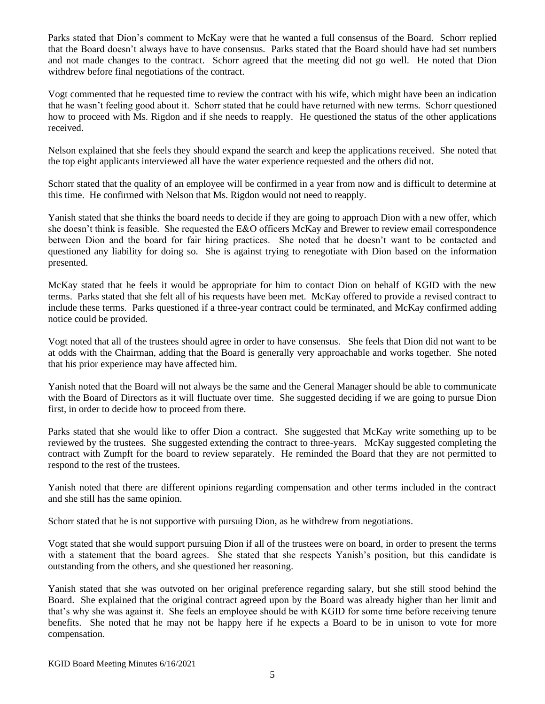Parks stated that Dion's comment to McKay were that he wanted a full consensus of the Board. Schorr replied that the Board doesn't always have to have consensus. Parks stated that the Board should have had set numbers and not made changes to the contract. Schorr agreed that the meeting did not go well. He noted that Dion withdrew before final negotiations of the contract.

Vogt commented that he requested time to review the contract with his wife, which might have been an indication that he wasn't feeling good about it. Schorr stated that he could have returned with new terms. Schorr questioned how to proceed with Ms. Rigdon and if she needs to reapply. He questioned the status of the other applications received.

Nelson explained that she feels they should expand the search and keep the applications received. She noted that the top eight applicants interviewed all have the water experience requested and the others did not.

Schorr stated that the quality of an employee will be confirmed in a year from now and is difficult to determine at this time. He confirmed with Nelson that Ms. Rigdon would not need to reapply.

Yanish stated that she thinks the board needs to decide if they are going to approach Dion with a new offer, which she doesn't think is feasible. She requested the E&O officers McKay and Brewer to review email correspondence between Dion and the board for fair hiring practices. She noted that he doesn't want to be contacted and questioned any liability for doing so. She is against trying to renegotiate with Dion based on the information presented.

McKay stated that he feels it would be appropriate for him to contact Dion on behalf of KGID with the new terms. Parks stated that she felt all of his requests have been met. McKay offered to provide a revised contract to include these terms. Parks questioned if a three-year contract could be terminated, and McKay confirmed adding notice could be provided.

Vogt noted that all of the trustees should agree in order to have consensus. She feels that Dion did not want to be at odds with the Chairman, adding that the Board is generally very approachable and works together. She noted that his prior experience may have affected him.

Yanish noted that the Board will not always be the same and the General Manager should be able to communicate with the Board of Directors as it will fluctuate over time. She suggested deciding if we are going to pursue Dion first, in order to decide how to proceed from there.

Parks stated that she would like to offer Dion a contract. She suggested that McKay write something up to be reviewed by the trustees. She suggested extending the contract to three-years. McKay suggested completing the contract with Zumpft for the board to review separately. He reminded the Board that they are not permitted to respond to the rest of the trustees.

Yanish noted that there are different opinions regarding compensation and other terms included in the contract and she still has the same opinion.

Schorr stated that he is not supportive with pursuing Dion, as he withdrew from negotiations.

Vogt stated that she would support pursuing Dion if all of the trustees were on board, in order to present the terms with a statement that the board agrees. She stated that she respects Yanish's position, but this candidate is outstanding from the others, and she questioned her reasoning.

Yanish stated that she was outvoted on her original preference regarding salary, but she still stood behind the Board. She explained that the original contract agreed upon by the Board was already higher than her limit and that's why she was against it. She feels an employee should be with KGID for some time before receiving tenure benefits. She noted that he may not be happy here if he expects a Board to be in unison to vote for more compensation.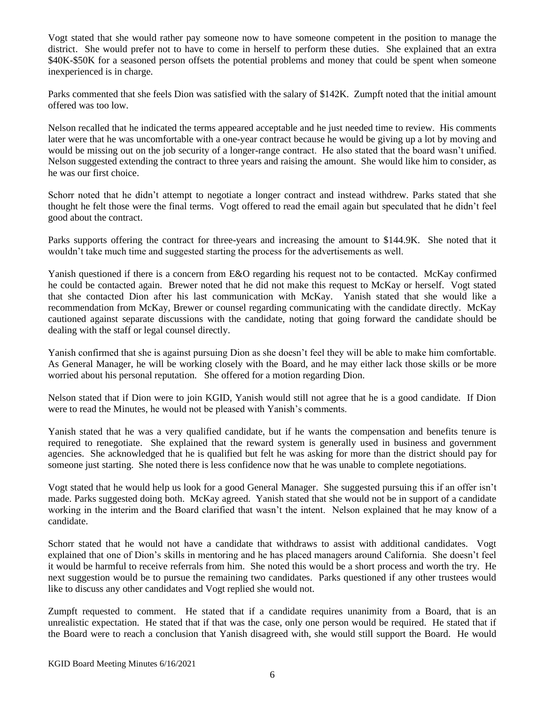Vogt stated that she would rather pay someone now to have someone competent in the position to manage the district. She would prefer not to have to come in herself to perform these duties. She explained that an extra \$40K-\$50K for a seasoned person offsets the potential problems and money that could be spent when someone inexperienced is in charge.

Parks commented that she feels Dion was satisfied with the salary of \$142K. Zumpft noted that the initial amount offered was too low.

Nelson recalled that he indicated the terms appeared acceptable and he just needed time to review. His comments later were that he was uncomfortable with a one-year contract because he would be giving up a lot by moving and would be missing out on the job security of a longer-range contract. He also stated that the board wasn't unified. Nelson suggested extending the contract to three years and raising the amount. She would like him to consider, as he was our first choice.

Schorr noted that he didn't attempt to negotiate a longer contract and instead withdrew. Parks stated that she thought he felt those were the final terms. Vogt offered to read the email again but speculated that he didn't feel good about the contract.

Parks supports offering the contract for three-years and increasing the amount to \$144.9K. She noted that it wouldn't take much time and suggested starting the process for the advertisements as well.

Yanish questioned if there is a concern from E&O regarding his request not to be contacted. McKay confirmed he could be contacted again. Brewer noted that he did not make this request to McKay or herself. Vogt stated that she contacted Dion after his last communication with McKay. Yanish stated that she would like a recommendation from McKay, Brewer or counsel regarding communicating with the candidate directly. McKay cautioned against separate discussions with the candidate, noting that going forward the candidate should be dealing with the staff or legal counsel directly.

Yanish confirmed that she is against pursuing Dion as she doesn't feel they will be able to make him comfortable. As General Manager, he will be working closely with the Board, and he may either lack those skills or be more worried about his personal reputation. She offered for a motion regarding Dion.

Nelson stated that if Dion were to join KGID, Yanish would still not agree that he is a good candidate. If Dion were to read the Minutes, he would not be pleased with Yanish's comments.

Yanish stated that he was a very qualified candidate, but if he wants the compensation and benefits tenure is required to renegotiate. She explained that the reward system is generally used in business and government agencies. She acknowledged that he is qualified but felt he was asking for more than the district should pay for someone just starting. She noted there is less confidence now that he was unable to complete negotiations.

Vogt stated that he would help us look for a good General Manager. She suggested pursuing this if an offer isn't made. Parks suggested doing both. McKay agreed. Yanish stated that she would not be in support of a candidate working in the interim and the Board clarified that wasn't the intent. Nelson explained that he may know of a candidate.

Schorr stated that he would not have a candidate that withdraws to assist with additional candidates. Vogt explained that one of Dion's skills in mentoring and he has placed managers around California. She doesn't feel it would be harmful to receive referrals from him. She noted this would be a short process and worth the try. He next suggestion would be to pursue the remaining two candidates. Parks questioned if any other trustees would like to discuss any other candidates and Vogt replied she would not.

Zumpft requested to comment. He stated that if a candidate requires unanimity from a Board, that is an unrealistic expectation. He stated that if that was the case, only one person would be required. He stated that if the Board were to reach a conclusion that Yanish disagreed with, she would still support the Board. He would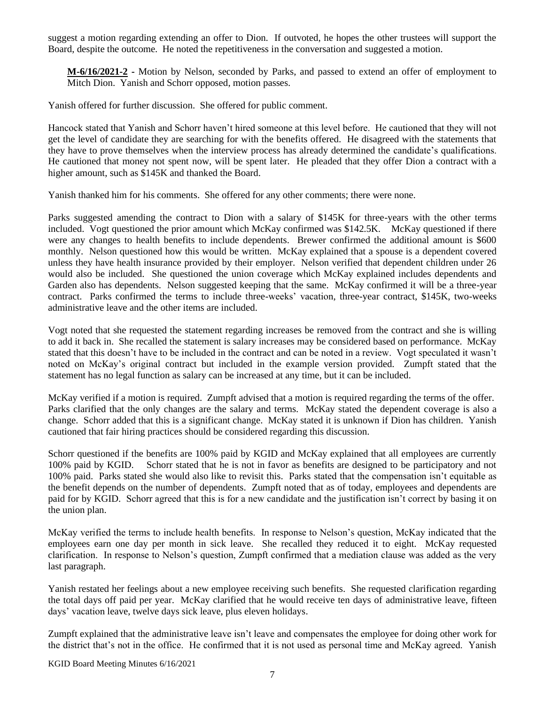suggest a motion regarding extending an offer to Dion. If outvoted, he hopes the other trustees will support the Board, despite the outcome. He noted the repetitiveness in the conversation and suggested a motion.

**M-6/16/2021-2 -** Motion by Nelson, seconded by Parks, and passed to extend an offer of employment to Mitch Dion. Yanish and Schorr opposed, motion passes.

Yanish offered for further discussion. She offered for public comment.

Hancock stated that Yanish and Schorr haven't hired someone at this level before. He cautioned that they will not get the level of candidate they are searching for with the benefits offered. He disagreed with the statements that they have to prove themselves when the interview process has already determined the candidate's qualifications. He cautioned that money not spent now, will be spent later. He pleaded that they offer Dion a contract with a higher amount, such as \$145K and thanked the Board.

Yanish thanked him for his comments. She offered for any other comments; there were none.

Parks suggested amending the contract to Dion with a salary of \$145K for three-years with the other terms included. Vogt questioned the prior amount which McKay confirmed was \$142.5K. McKay questioned if there were any changes to health benefits to include dependents. Brewer confirmed the additional amount is \$600 monthly. Nelson questioned how this would be written. McKay explained that a spouse is a dependent covered unless they have health insurance provided by their employer. Nelson verified that dependent children under 26 would also be included. She questioned the union coverage which McKay explained includes dependents and Garden also has dependents. Nelson suggested keeping that the same. McKay confirmed it will be a three-year contract. Parks confirmed the terms to include three-weeks' vacation, three-year contract, \$145K, two-weeks administrative leave and the other items are included.

Vogt noted that she requested the statement regarding increases be removed from the contract and she is willing to add it back in. She recalled the statement is salary increases may be considered based on performance. McKay stated that this doesn't have to be included in the contract and can be noted in a review. Vogt speculated it wasn't noted on McKay's original contract but included in the example version provided. Zumpft stated that the statement has no legal function as salary can be increased at any time, but it can be included.

McKay verified if a motion is required. Zumpft advised that a motion is required regarding the terms of the offer. Parks clarified that the only changes are the salary and terms. McKay stated the dependent coverage is also a change. Schorr added that this is a significant change. McKay stated it is unknown if Dion has children. Yanish cautioned that fair hiring practices should be considered regarding this discussion.

Schorr questioned if the benefits are 100% paid by KGID and McKay explained that all employees are currently 100% paid by KGID. Schorr stated that he is not in favor as benefits are designed to be participatory and not 100% paid. Parks stated she would also like to revisit this. Parks stated that the compensation isn't equitable as the benefit depends on the number of dependents. Zumpft noted that as of today, employees and dependents are paid for by KGID. Schorr agreed that this is for a new candidate and the justification isn't correct by basing it on the union plan.

McKay verified the terms to include health benefits. In response to Nelson's question, McKay indicated that the employees earn one day per month in sick leave. She recalled they reduced it to eight. McKay requested clarification. In response to Nelson's question, Zumpft confirmed that a mediation clause was added as the very last paragraph.

Yanish restated her feelings about a new employee receiving such benefits. She requested clarification regarding the total days off paid per year. McKay clarified that he would receive ten days of administrative leave, fifteen days' vacation leave, twelve days sick leave, plus eleven holidays.

Zumpft explained that the administrative leave isn't leave and compensates the employee for doing other work for the district that's not in the office. He confirmed that it is not used as personal time and McKay agreed. Yanish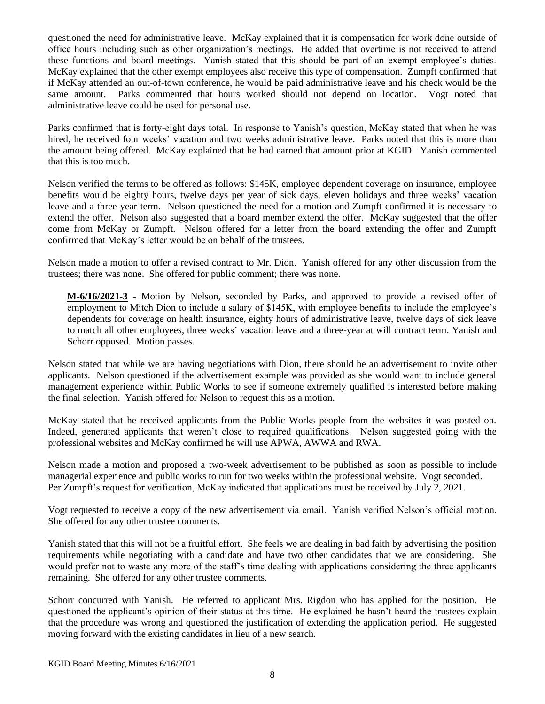questioned the need for administrative leave. McKay explained that it is compensation for work done outside of office hours including such as other organization's meetings. He added that overtime is not received to attend these functions and board meetings. Yanish stated that this should be part of an exempt employee's duties. McKay explained that the other exempt employees also receive this type of compensation. Zumpft confirmed that if McKay attended an out-of-town conference, he would be paid administrative leave and his check would be the same amount. Parks commented that hours worked should not depend on location. Vogt noted that administrative leave could be used for personal use.

Parks confirmed that is forty-eight days total. In response to Yanish's question, McKay stated that when he was hired, he received four weeks' vacation and two weeks administrative leave. Parks noted that this is more than the amount being offered. McKay explained that he had earned that amount prior at KGID. Yanish commented that this is too much.

Nelson verified the terms to be offered as follows: \$145K, employee dependent coverage on insurance, employee benefits would be eighty hours, twelve days per year of sick days, eleven holidays and three weeks' vacation leave and a three-year term. Nelson questioned the need for a motion and Zumpft confirmed it is necessary to extend the offer. Nelson also suggested that a board member extend the offer. McKay suggested that the offer come from McKay or Zumpft. Nelson offered for a letter from the board extending the offer and Zumpft confirmed that McKay's letter would be on behalf of the trustees.

Nelson made a motion to offer a revised contract to Mr. Dion. Yanish offered for any other discussion from the trustees; there was none. She offered for public comment; there was none.

**M-6/16/2021-3 -** Motion by Nelson, seconded by Parks, and approved to provide a revised offer of employment to Mitch Dion to include a salary of \$145K, with employee benefits to include the employee's dependents for coverage on health insurance, eighty hours of administrative leave, twelve days of sick leave to match all other employees, three weeks' vacation leave and a three-year at will contract term. Yanish and Schorr opposed. Motion passes.

Nelson stated that while we are having negotiations with Dion, there should be an advertisement to invite other applicants. Nelson questioned if the advertisement example was provided as she would want to include general management experience within Public Works to see if someone extremely qualified is interested before making the final selection. Yanish offered for Nelson to request this as a motion.

McKay stated that he received applicants from the Public Works people from the websites it was posted on. Indeed, generated applicants that weren't close to required qualifications. Nelson suggested going with the professional websites and McKay confirmed he will use APWA, AWWA and RWA.

Nelson made a motion and proposed a two-week advertisement to be published as soon as possible to include managerial experience and public works to run for two weeks within the professional website. Vogt seconded. Per Zumpft's request for verification, McKay indicated that applications must be received by July 2, 2021.

Vogt requested to receive a copy of the new advertisement via email. Yanish verified Nelson's official motion. She offered for any other trustee comments.

Yanish stated that this will not be a fruitful effort. She feels we are dealing in bad faith by advertising the position requirements while negotiating with a candidate and have two other candidates that we are considering. She would prefer not to waste any more of the staff's time dealing with applications considering the three applicants remaining. She offered for any other trustee comments.

Schorr concurred with Yanish. He referred to applicant Mrs. Rigdon who has applied for the position. He questioned the applicant's opinion of their status at this time. He explained he hasn't heard the trustees explain that the procedure was wrong and questioned the justification of extending the application period. He suggested moving forward with the existing candidates in lieu of a new search.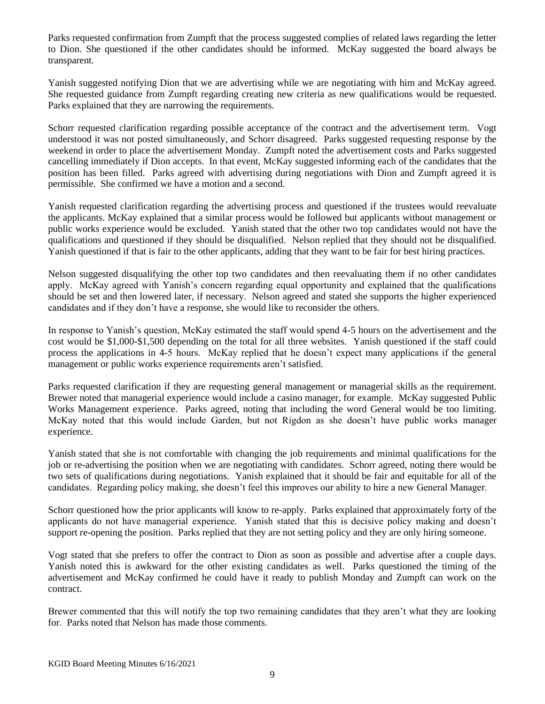Parks requested confirmation from Zumpft that the process suggested complies of related laws regarding the letter to Dion. She questioned if the other candidates should be informed. McKay suggested the board always be transparent.

Yanish suggested notifying Dion that we are advertising while we are negotiating with him and McKay agreed. She requested guidance from Zumpft regarding creating new criteria as new qualifications would be requested. Parks explained that they are narrowing the requirements.

Schorr requested clarification regarding possible acceptance of the contract and the advertisement term. Vogt understood it was not posted simultaneously, and Schorr disagreed. Parks suggested requesting response by the weekend in order to place the advertisement Monday. Zumpft noted the advertisement costs and Parks suggested cancelling immediately if Dion accepts. In that event, McKay suggested informing each of the candidates that the position has been filled. Parks agreed with advertising during negotiations with Dion and Zumpft agreed it is permissible. She confirmed we have a motion and a second.

Yanish requested clarification regarding the advertising process and questioned if the trustees would reevaluate the applicants. McKay explained that a similar process would be followed but applicants without management or public works experience would be excluded. Yanish stated that the other two top candidates would not have the qualifications and questioned if they should be disqualified. Nelson replied that they should not be disqualified. Yanish questioned if that is fair to the other applicants, adding that they want to be fair for best hiring practices.

Nelson suggested disqualifying the other top two candidates and then reevaluating them if no other candidates apply. McKay agreed with Yanish's concern regarding equal opportunity and explained that the qualifications should be set and then lowered later, if necessary. Nelson agreed and stated she supports the higher experienced candidates and if they don't have a response, she would like to reconsider the others.

In response to Yanish's question, McKay estimated the staff would spend 4-5 hours on the advertisement and the cost would be \$1,000-\$1,500 depending on the total for all three websites. Yanish questioned if the staff could process the applications in 4-5 hours. McKay replied that he doesn't expect many applications if the general management or public works experience requirements aren't satisfied.

Parks requested clarification if they are requesting general management or managerial skills as the requirement. Brewer noted that managerial experience would include a casino manager, for example. McKay suggested Public Works Management experience. Parks agreed, noting that including the word General would be too limiting. McKay noted that this would include Garden, but not Rigdon as she doesn't have public works manager experience.

Yanish stated that she is not comfortable with changing the job requirements and minimal qualifications for the job or re-advertising the position when we are negotiating with candidates. Schorr agreed, noting there would be two sets of qualifications during negotiations. Yanish explained that it should be fair and equitable for all of the candidates. Regarding policy making, she doesn't feel this improves our ability to hire a new General Manager.

Schorr questioned how the prior applicants will know to re-apply. Parks explained that approximately forty of the applicants do not have managerial experience. Yanish stated that this is decisive policy making and doesn't support re-opening the position. Parks replied that they are not setting policy and they are only hiring someone.

Vogt stated that she prefers to offer the contract to Dion as soon as possible and advertise after a couple days. Yanish noted this is awkward for the other existing candidates as well. Parks questioned the timing of the advertisement and McKay confirmed he could have it ready to publish Monday and Zumpft can work on the contract.

Brewer commented that this will notify the top two remaining candidates that they aren't what they are looking for. Parks noted that Nelson has made those comments.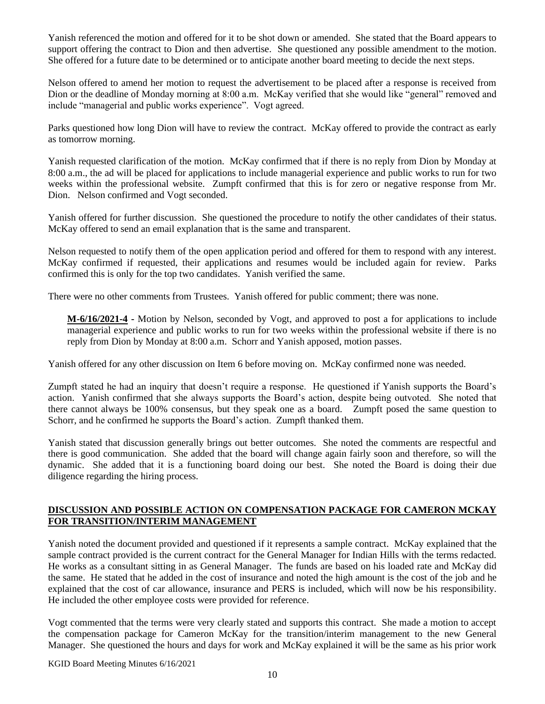Yanish referenced the motion and offered for it to be shot down or amended. She stated that the Board appears to support offering the contract to Dion and then advertise. She questioned any possible amendment to the motion. She offered for a future date to be determined or to anticipate another board meeting to decide the next steps.

Nelson offered to amend her motion to request the advertisement to be placed after a response is received from Dion or the deadline of Monday morning at 8:00 a.m. McKay verified that she would like "general" removed and include "managerial and public works experience". Vogt agreed.

Parks questioned how long Dion will have to review the contract. McKay offered to provide the contract as early as tomorrow morning.

Yanish requested clarification of the motion. McKay confirmed that if there is no reply from Dion by Monday at 8:00 a.m., the ad will be placed for applications to include managerial experience and public works to run for two weeks within the professional website. Zumpft confirmed that this is for zero or negative response from Mr. Dion. Nelson confirmed and Vogt seconded.

Yanish offered for further discussion. She questioned the procedure to notify the other candidates of their status. McKay offered to send an email explanation that is the same and transparent.

Nelson requested to notify them of the open application period and offered for them to respond with any interest. McKay confirmed if requested, their applications and resumes would be included again for review. Parks confirmed this is only for the top two candidates. Yanish verified the same.

There were no other comments from Trustees. Yanish offered for public comment; there was none.

**M-6/16/2021-4 -** Motion by Nelson, seconded by Vogt, and approved to post a for applications to include managerial experience and public works to run for two weeks within the professional website if there is no reply from Dion by Monday at 8:00 a.m. Schorr and Yanish apposed, motion passes.

Yanish offered for any other discussion on Item 6 before moving on. McKay confirmed none was needed.

Zumpft stated he had an inquiry that doesn't require a response. He questioned if Yanish supports the Board's action. Yanish confirmed that she always supports the Board's action, despite being outvoted. She noted that there cannot always be 100% consensus, but they speak one as a board. Zumpft posed the same question to Schorr, and he confirmed he supports the Board's action. Zumpft thanked them.

Yanish stated that discussion generally brings out better outcomes. She noted the comments are respectful and there is good communication. She added that the board will change again fairly soon and therefore, so will the dynamic. She added that it is a functioning board doing our best. She noted the Board is doing their due diligence regarding the hiring process.

## **DISCUSSION AND POSSIBLE ACTION ON COMPENSATION PACKAGE FOR CAMERON MCKAY FOR TRANSITION/INTERIM MANAGEMENT**

Yanish noted the document provided and questioned if it represents a sample contract. McKay explained that the sample contract provided is the current contract for the General Manager for Indian Hills with the terms redacted. He works as a consultant sitting in as General Manager. The funds are based on his loaded rate and McKay did the same. He stated that he added in the cost of insurance and noted the high amount is the cost of the job and he explained that the cost of car allowance, insurance and PERS is included, which will now be his responsibility. He included the other employee costs were provided for reference.

Vogt commented that the terms were very clearly stated and supports this contract. She made a motion to accept the compensation package for Cameron McKay for the transition/interim management to the new General Manager. She questioned the hours and days for work and McKay explained it will be the same as his prior work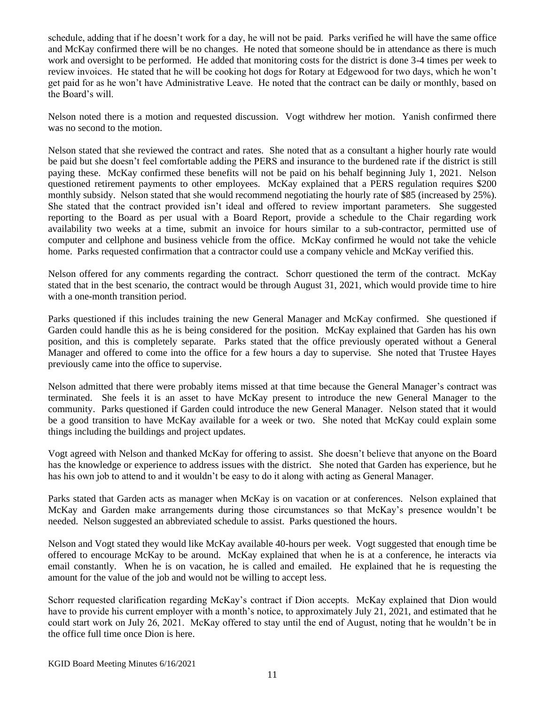schedule, adding that if he doesn't work for a day, he will not be paid. Parks verified he will have the same office and McKay confirmed there will be no changes. He noted that someone should be in attendance as there is much work and oversight to be performed. He added that monitoring costs for the district is done 3-4 times per week to review invoices. He stated that he will be cooking hot dogs for Rotary at Edgewood for two days, which he won't get paid for as he won't have Administrative Leave. He noted that the contract can be daily or monthly, based on the Board's will.

Nelson noted there is a motion and requested discussion. Vogt withdrew her motion. Yanish confirmed there was no second to the motion.

Nelson stated that she reviewed the contract and rates. She noted that as a consultant a higher hourly rate would be paid but she doesn't feel comfortable adding the PERS and insurance to the burdened rate if the district is still paying these. McKay confirmed these benefits will not be paid on his behalf beginning July 1, 2021. Nelson questioned retirement payments to other employees. McKay explained that a PERS regulation requires \$200 monthly subsidy. Nelson stated that she would recommend negotiating the hourly rate of \$85 (increased by 25%). She stated that the contract provided isn't ideal and offered to review important parameters. She suggested reporting to the Board as per usual with a Board Report, provide a schedule to the Chair regarding work availability two weeks at a time, submit an invoice for hours similar to a sub-contractor, permitted use of computer and cellphone and business vehicle from the office. McKay confirmed he would not take the vehicle home. Parks requested confirmation that a contractor could use a company vehicle and McKay verified this.

Nelson offered for any comments regarding the contract. Schorr questioned the term of the contract. McKay stated that in the best scenario, the contract would be through August 31, 2021, which would provide time to hire with a one-month transition period.

Parks questioned if this includes training the new General Manager and McKay confirmed. She questioned if Garden could handle this as he is being considered for the position. McKay explained that Garden has his own position, and this is completely separate. Parks stated that the office previously operated without a General Manager and offered to come into the office for a few hours a day to supervise. She noted that Trustee Hayes previously came into the office to supervise.

Nelson admitted that there were probably items missed at that time because the General Manager's contract was terminated. She feels it is an asset to have McKay present to introduce the new General Manager to the community. Parks questioned if Garden could introduce the new General Manager. Nelson stated that it would be a good transition to have McKay available for a week or two. She noted that McKay could explain some things including the buildings and project updates.

Vogt agreed with Nelson and thanked McKay for offering to assist. She doesn't believe that anyone on the Board has the knowledge or experience to address issues with the district. She noted that Garden has experience, but he has his own job to attend to and it wouldn't be easy to do it along with acting as General Manager.

Parks stated that Garden acts as manager when McKay is on vacation or at conferences. Nelson explained that McKay and Garden make arrangements during those circumstances so that McKay's presence wouldn't be needed. Nelson suggested an abbreviated schedule to assist. Parks questioned the hours.

Nelson and Vogt stated they would like McKay available 40-hours per week. Vogt suggested that enough time be offered to encourage McKay to be around. McKay explained that when he is at a conference, he interacts via email constantly. When he is on vacation, he is called and emailed. He explained that he is requesting the amount for the value of the job and would not be willing to accept less.

Schorr requested clarification regarding McKay's contract if Dion accepts. McKay explained that Dion would have to provide his current employer with a month's notice, to approximately July 21, 2021, and estimated that he could start work on July 26, 2021. McKay offered to stay until the end of August, noting that he wouldn't be in the office full time once Dion is here.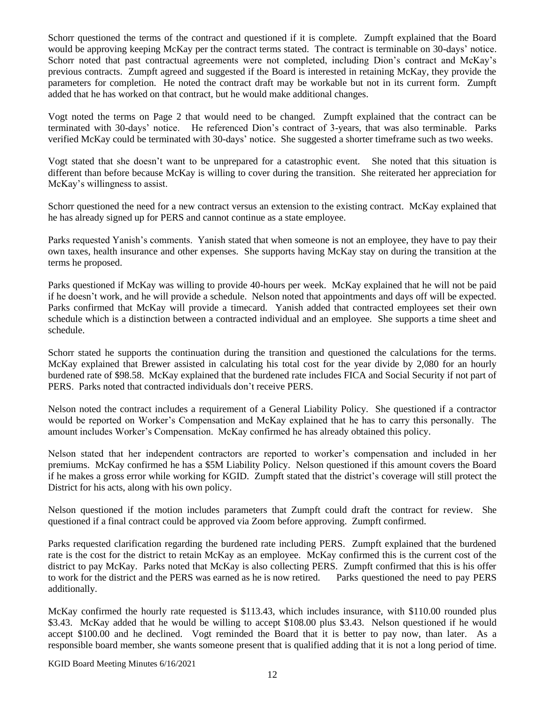Schorr questioned the terms of the contract and questioned if it is complete. Zumpft explained that the Board would be approving keeping McKay per the contract terms stated. The contract is terminable on 30-days' notice. Schorr noted that past contractual agreements were not completed, including Dion's contract and McKay's previous contracts. Zumpft agreed and suggested if the Board is interested in retaining McKay, they provide the parameters for completion. He noted the contract draft may be workable but not in its current form. Zumpft added that he has worked on that contract, but he would make additional changes.

Vogt noted the terms on Page 2 that would need to be changed. Zumpft explained that the contract can be terminated with 30-days' notice. He referenced Dion's contract of 3-years, that was also terminable. Parks verified McKay could be terminated with 30-days' notice. She suggested a shorter timeframe such as two weeks.

Vogt stated that she doesn't want to be unprepared for a catastrophic event. She noted that this situation is different than before because McKay is willing to cover during the transition. She reiterated her appreciation for McKay's willingness to assist.

Schorr questioned the need for a new contract versus an extension to the existing contract. McKay explained that he has already signed up for PERS and cannot continue as a state employee.

Parks requested Yanish's comments. Yanish stated that when someone is not an employee, they have to pay their own taxes, health insurance and other expenses. She supports having McKay stay on during the transition at the terms he proposed.

Parks questioned if McKay was willing to provide 40-hours per week. McKay explained that he will not be paid if he doesn't work, and he will provide a schedule. Nelson noted that appointments and days off will be expected. Parks confirmed that McKay will provide a timecard. Yanish added that contracted employees set their own schedule which is a distinction between a contracted individual and an employee. She supports a time sheet and schedule.

Schorr stated he supports the continuation during the transition and questioned the calculations for the terms. McKay explained that Brewer assisted in calculating his total cost for the year divide by 2,080 for an hourly burdened rate of \$98.58. McKay explained that the burdened rate includes FICA and Social Security if not part of PERS. Parks noted that contracted individuals don't receive PERS.

Nelson noted the contract includes a requirement of a General Liability Policy. She questioned if a contractor would be reported on Worker's Compensation and McKay explained that he has to carry this personally. The amount includes Worker's Compensation. McKay confirmed he has already obtained this policy.

Nelson stated that her independent contractors are reported to worker's compensation and included in her premiums. McKay confirmed he has a \$5M Liability Policy. Nelson questioned if this amount covers the Board if he makes a gross error while working for KGID. Zumpft stated that the district's coverage will still protect the District for his acts, along with his own policy.

Nelson questioned if the motion includes parameters that Zumpft could draft the contract for review. She questioned if a final contract could be approved via Zoom before approving. Zumpft confirmed.

Parks requested clarification regarding the burdened rate including PERS. Zumpft explained that the burdened rate is the cost for the district to retain McKay as an employee. McKay confirmed this is the current cost of the district to pay McKay. Parks noted that McKay is also collecting PERS. Zumpft confirmed that this is his offer to work for the district and the PERS was earned as he is now retired. Parks questioned the need to pay PERS additionally.

McKay confirmed the hourly rate requested is \$113.43, which includes insurance, with \$110.00 rounded plus \$3.43. McKay added that he would be willing to accept \$108.00 plus \$3.43. Nelson questioned if he would accept \$100.00 and he declined. Vogt reminded the Board that it is better to pay now, than later. As a responsible board member, she wants someone present that is qualified adding that it is not a long period of time.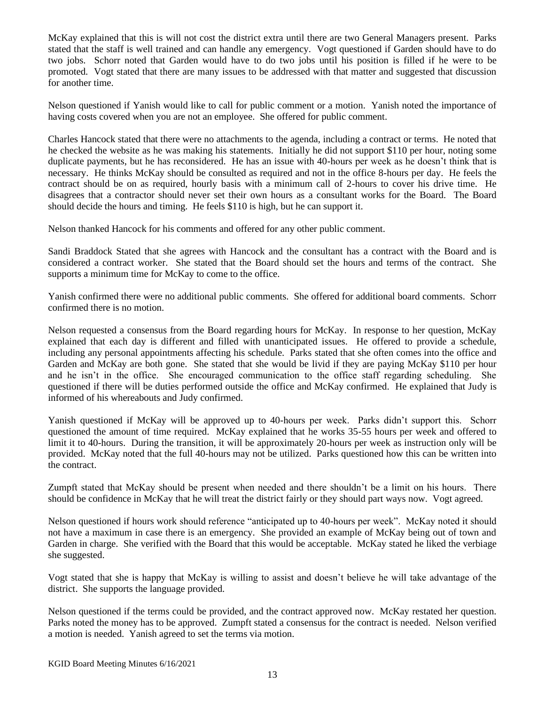McKay explained that this is will not cost the district extra until there are two General Managers present. Parks stated that the staff is well trained and can handle any emergency. Vogt questioned if Garden should have to do two jobs. Schorr noted that Garden would have to do two jobs until his position is filled if he were to be promoted. Vogt stated that there are many issues to be addressed with that matter and suggested that discussion for another time.

Nelson questioned if Yanish would like to call for public comment or a motion. Yanish noted the importance of having costs covered when you are not an employee. She offered for public comment.

Charles Hancock stated that there were no attachments to the agenda, including a contract or terms. He noted that he checked the website as he was making his statements. Initially he did not support \$110 per hour, noting some duplicate payments, but he has reconsidered. He has an issue with 40-hours per week as he doesn't think that is necessary. He thinks McKay should be consulted as required and not in the office 8-hours per day. He feels the contract should be on as required, hourly basis with a minimum call of 2-hours to cover his drive time. He disagrees that a contractor should never set their own hours as a consultant works for the Board. The Board should decide the hours and timing. He feels \$110 is high, but he can support it.

Nelson thanked Hancock for his comments and offered for any other public comment.

Sandi Braddock Stated that she agrees with Hancock and the consultant has a contract with the Board and is considered a contract worker. She stated that the Board should set the hours and terms of the contract. She supports a minimum time for McKay to come to the office.

Yanish confirmed there were no additional public comments. She offered for additional board comments. Schorr confirmed there is no motion.

Nelson requested a consensus from the Board regarding hours for McKay. In response to her question, McKay explained that each day is different and filled with unanticipated issues. He offered to provide a schedule, including any personal appointments affecting his schedule. Parks stated that she often comes into the office and Garden and McKay are both gone. She stated that she would be livid if they are paying McKay \$110 per hour and he isn't in the office. She encouraged communication to the office staff regarding scheduling. She questioned if there will be duties performed outside the office and McKay confirmed. He explained that Judy is informed of his whereabouts and Judy confirmed.

Yanish questioned if McKay will be approved up to 40-hours per week. Parks didn't support this. Schorr questioned the amount of time required. McKay explained that he works 35-55 hours per week and offered to limit it to 40-hours. During the transition, it will be approximately 20-hours per week as instruction only will be provided. McKay noted that the full 40-hours may not be utilized. Parks questioned how this can be written into the contract.

Zumpft stated that McKay should be present when needed and there shouldn't be a limit on his hours. There should be confidence in McKay that he will treat the district fairly or they should part ways now. Vogt agreed.

Nelson questioned if hours work should reference "anticipated up to 40-hours per week". McKay noted it should not have a maximum in case there is an emergency. She provided an example of McKay being out of town and Garden in charge. She verified with the Board that this would be acceptable. McKay stated he liked the verbiage she suggested.

Vogt stated that she is happy that McKay is willing to assist and doesn't believe he will take advantage of the district. She supports the language provided.

Nelson questioned if the terms could be provided, and the contract approved now. McKay restated her question. Parks noted the money has to be approved. Zumpft stated a consensus for the contract is needed. Nelson verified a motion is needed. Yanish agreed to set the terms via motion.